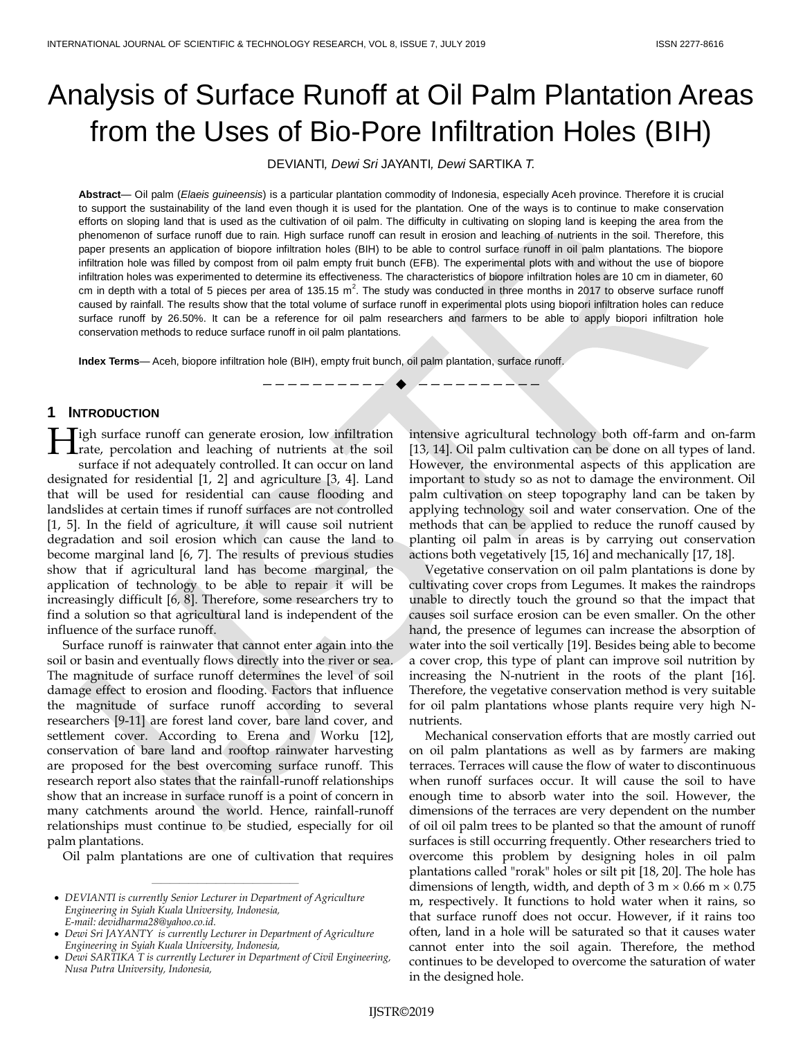# Analysis of Surface Runoff at Oil Palm Plantation Areas from the Uses of Bio-Pore Infiltration Holes (BIH)

DEVIANTI*, Dewi Sri* JAYANTI*, Dewi* SARTIKA *T.*

**Abstract**— Oil palm (*Elaeis guineensis*) is a particular plantation commodity of Indonesia, especially Aceh province. Therefore it is crucial to support the sustainability of the land even though it is used for the plantation. One of the ways is to continue to make conservation efforts on sloping land that is used as the cultivation of oil palm. The difficulty in cultivating on sloping land is keeping the area from the phenomenon of surface runoff due to rain. High surface runoff can result in erosion and leaching of nutrients in the soil. Therefore, this paper presents an application of biopore infiltration holes (BIH) to be able to control surface runoff in oil palm plantations. The biopore infiltration hole was filled by compost from oil palm empty fruit bunch (EFB). The experimental plots with and without the use of biopore infiltration holes was experimented to determine its effectiveness. The characteristics of biopore infiltration holes are 10 cm in diameter, 60 cm in depth with a total of 5 pieces per area of 135.15 m<sup>2</sup>. The study was conducted in three months in 2017 to observe surface runoff caused by rainfall. The results show that the total volume of surface runoff in experimental plots using biopori infiltration holes can reduce surface runoff by 26.50%. It can be a reference for oil palm researchers and farmers to be able to apply biopori infiltration hole conservation methods to reduce surface runoff in oil palm plantations.

**Index Terms**— Aceh, biopore infiltration hole (BIH), empty fruit bunch, oil palm plantation, surface runoff.

————————— **◆** 

# **1 INTRODUCTION**

**Tigh surface runoff can generate erosion, low infiltration Figh** surface runoff can generate erosion, low infiltration rate, percolation and leaching of nutrients at the soil surface if not adequately controlled. It can occur on land designated for residential [1, 2] and agriculture [3, 4]. Land that will be used for residential can cause flooding and landslides at certain times if runoff surfaces are not controlled [1, 5]. In the field of agriculture, it will cause soil nutrient degradation and soil erosion which can cause the land to become marginal land [6, 7]. The results of previous studies show that if agricultural land has become marginal, the application of technology to be able to repair it will be increasingly difficult [6, 8]. Therefore, some researchers try to find a solution so that agricultural land is independent of the influence of the surface runoff.

Surface runoff is rainwater that cannot enter again into the soil or basin and eventually flows directly into the river or sea. The magnitude of surface runoff determines the level of soil damage effect to erosion and flooding. Factors that influence the magnitude of surface runoff according to several researchers [9-11] are forest land cover, bare land cover, and settlement cover. According to Erena and Worku [12], conservation of bare land and rooftop rainwater harvesting are proposed for the best overcoming surface runoff. This research report also states that the rainfall-runoff relationships show that an increase in surface runoff is a point of concern in many catchments around the world. Hence, rainfall-runoff relationships must continue to be studied, especially for oil palm plantations.

Oil palm plantations are one of cultivation that requires

————————————————

intensive agricultural technology both off-farm and on-farm [13, 14]. Oil palm cultivation can be done on all types of land. However, the environmental aspects of this application are important to study so as not to damage the environment. Oil palm cultivation on steep topography land can be taken by applying technology soil and water conservation. One of the methods that can be applied to reduce the runoff caused by planting oil palm in areas is by carrying out conservation actions both vegetatively [15, 16] and mechanically [17, 18].

Vegetative conservation on oil palm plantations is done by cultivating cover crops from Legumes. It makes the raindrops unable to directly touch the ground so that the impact that causes soil surface erosion can be even smaller. On the other hand, the presence of legumes can increase the absorption of water into the soil vertically [19]. Besides being able to become a cover crop, this type of plant can improve soil nutrition by increasing the N-nutrient in the roots of the plant [16]. Therefore, the vegetative conservation method is very suitable for oil palm plantations whose plants require very high Nnutrients.

Mechanical conservation efforts that are mostly carried out on oil palm plantations as well as by farmers are making terraces. Terraces will cause the flow of water to discontinuous when runoff surfaces occur. It will cause the soil to have enough time to absorb water into the soil. However, the dimensions of the terraces are very dependent on the number of oil oil palm trees to be planted so that the amount of runoff surfaces is still occurring frequently. Other researchers tried to overcome this problem by designing holes in oil palm plantations called "rorak" holes or silt pit [18, 20]. The hole has dimensions of length, width, and depth of  $3 \text{ m} \times 0.66 \text{ m} \times 0.75$ m, respectively. It functions to hold water when it rains, so that surface runoff does not occur. However, if it rains too often, land in a hole will be saturated so that it causes water cannot enter into the soil again. Therefore, the method continues to be developed to overcome the saturation of water in the designed hole.

*DEVIANTI is currently Senior Lecturer in Department of Agriculture Engineering in Syiah Kuala University, Indonesia, E-mail: devidharma28@yahoo.co.id.*

*Dewi Sri JAYANTY is currently Lecturer in Department of Agriculture Engineering in Syiah Kuala University, Indonesia,* 

*Dewi SARTIKA T is currently Lecturer in Department of Civil Engineering, Nusa Putra University, Indonesia,*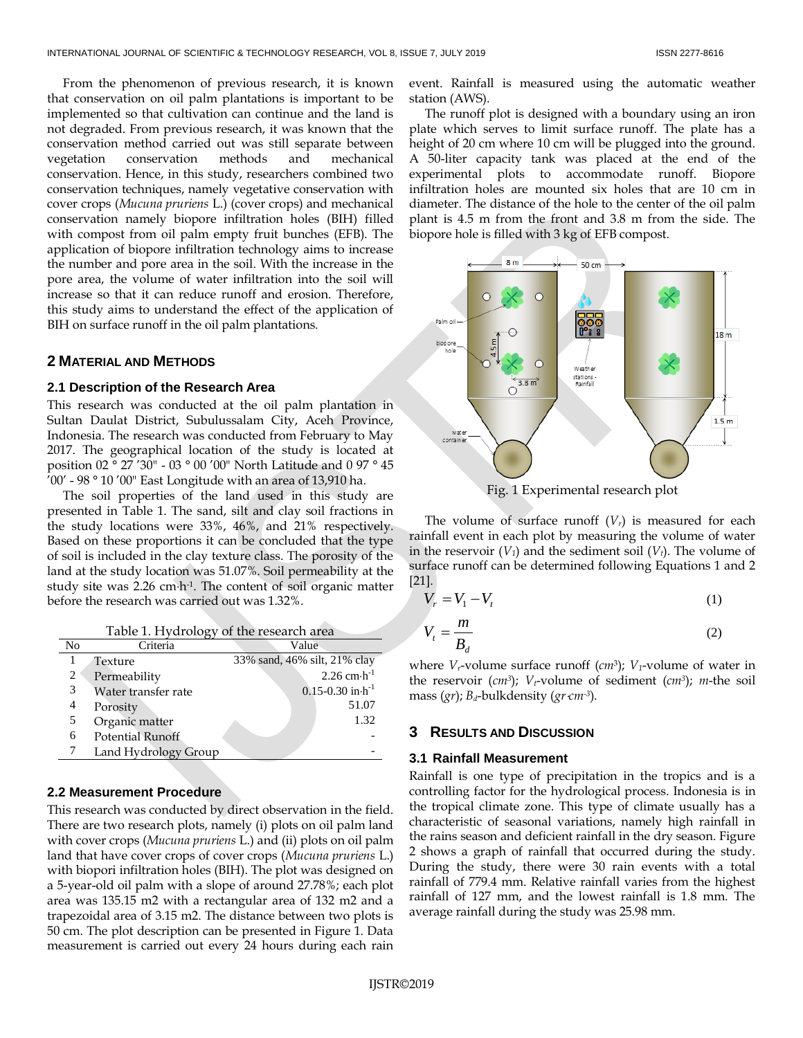From the phenomenon of previous research, it is known that conservation on oil palm plantations is important to be implemented so that cultivation can continue and the land is not degraded. From previous research, it was known that the conservation method carried out was still separate between vegetation conservation methods and mechanical conservation. Hence, in this study, researchers combined two conservation techniques, namely vegetative conservation with cover crops (*Mucuna pruriens* L.) (cover crops) and mechanical conservation namely biopore infiltration holes (BIH) filled with compost from oil palm empty fruit bunches (EFB). The application of biopore infiltration technology aims to increase the number and pore area in the soil. With the increase in the pore area, the volume of water infiltration into the soil will increase so that it can reduce runoff and erosion. Therefore, this study aims to understand the effect of the application of BIH on surface runoff in the oil palm plantations.

# **2 MATERIAL AND METHODS**

# **2.1 Description of the Research Area**

This research was conducted at the oil palm plantation in Sultan Daulat District, Subulussalam City, Aceh Province, Indonesia. The research was conducted from February to May 2017. The geographical location of the study is located at position 02 ° 27 '30" - 03 ° 00 '00" North Latitude and 0 97 ° 45 '00' - 98 ° 10 '00" East Longitude with an area of 13,910 ha.

The soil properties of the land used in this study are presented in Table 1. The sand, silt and clay soil fractions in the study locations were 33%, 46%, and 21% respectively. Based on these proportions it can be concluded that the type of soil is included in the clay texture class. The porosity of the land at the study location was 51.07%. Soil permeability at the study site was  $2.26$  cm $\cdot$ h<sup>-1</sup>. The content of soil organic matter before the research was carried out was 1.32%.

|  |  |  |  |  |  |  |  |  |  |  |  |  | Table 1. Hydrology of the research area |  |  |
|--|--|--|--|--|--|--|--|--|--|--|--|--|-----------------------------------------|--|--|
|--|--|--|--|--|--|--|--|--|--|--|--|--|-----------------------------------------|--|--|

| No | Criteria                | Value                                    |
|----|-------------------------|------------------------------------------|
|    | Texture                 | 33% sand, 46% silt, 21% clay             |
| 2  | Permeability            | $2.26$ cm $\cdot$ h <sup>-1</sup>        |
| 3  | Water transfer rate     | $0.15 - 0.30$ in $\cdot$ h <sup>-1</sup> |
| 4  | Porosity                | 51.07                                    |
| 5  | Organic matter          | 1.32                                     |
| 6  | <b>Potential Runoff</b> |                                          |
|    | Land Hydrology Group    |                                          |

# **2.2 Measurement Procedure**

This research was conducted by direct observation in the field. There are two research plots, namely (i) plots on oil palm land with cover crops (*Mucuna pruriens* L.) and (ii) plots on oil palm land that have cover crops of cover crops (*Mucuna pruriens* L.) with biopori infiltration holes (BIH). The plot was designed on a 5-year-old oil palm with a slope of around 27.78%; each plot area was 135.15 m2 with a rectangular area of 132 m2 and a trapezoidal area of 3.15 m2. The distance between two plots is 50 cm. The plot description can be presented in Figure 1. Data measurement is carried out every 24 hours during each rain

event. Rainfall is measured using the automatic weather station (AWS).

The runoff plot is designed with a boundary using an iron plate which serves to limit surface runoff. The plate has a height of 20 cm where 10 cm will be plugged into the ground. A 50-liter capacity tank was placed at the end of the experimental plots to accommodate runoff. Biopore infiltration holes are mounted six holes that are 10 cm in diameter. The distance of the hole to the center of the oil palm plant is 4.5 m from the front and 3.8 m from the side. The biopore hole is filled with 3 kg of EFB compost.



Fig. 1 Experimental research plot

The volume of surface runoff  $(V_r)$  is measured for each rainfall event in each plot by measuring the volume of water in the reservoir  $(V_1)$  and the sediment soil  $(V_t)$ . The volume of surface runoff can be determined following Equations 1 and 2 [21].

$$
V_r = V_1 - V_t \tag{1}
$$

$$
V_t = \frac{m}{B_d} \tag{2}
$$

where *Vr*-volume surface runoff (*cm*<sup>3</sup> ); *V1*-volume of water in the reservoir (*cm<sup>3</sup>* ); *Vt*-volume of sediment (*cm<sup>3</sup>* ); *m*-the soil mass (*gr*); *Bd*-bulkdensity (*grcm-3* ).

#### **3 RESULTS AND DISCUSSION**

#### **3.1 Rainfall Measurement**

Rainfall is one type of precipitation in the tropics and is a controlling factor for the hydrological process. Indonesia is in the tropical climate zone. This type of climate usually has a characteristic of seasonal variations, namely high rainfall in the rains season and deficient rainfall in the dry season. Figure 2 shows a graph of rainfall that occurred during the study. During the study, there were 30 rain events with a total rainfall of 779.4 mm. Relative rainfall varies from the highest rainfall of 127 mm, and the lowest rainfall is 1.8 mm. The average rainfall during the study was 25.98 mm.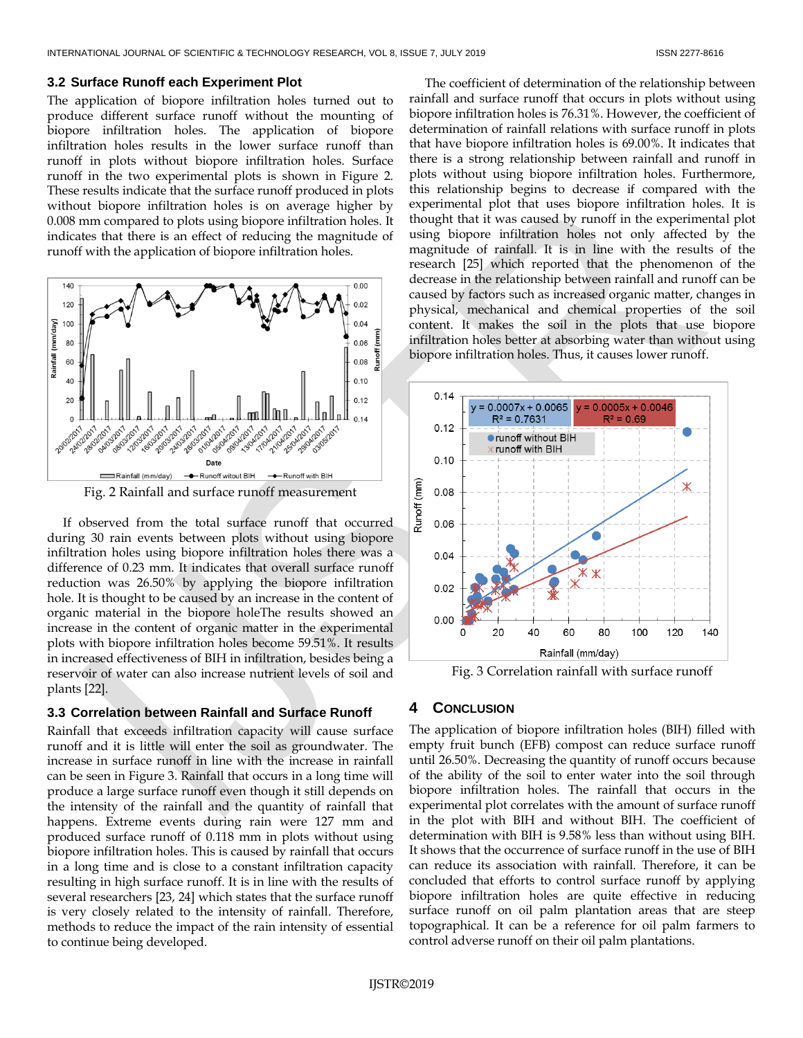### **3.2 Surface Runoff each Experiment Plot**

The application of biopore infiltration holes turned out to produce different surface runoff without the mounting of biopore infiltration holes. The application of biopore infiltration holes results in the lower surface runoff than runoff in plots without biopore infiltration holes. Surface runoff in the two experimental plots is shown in Figure 2. These results indicate that the surface runoff produced in plots without biopore infiltration holes is on average higher by 0.008 mm compared to plots using biopore infiltration holes. It indicates that there is an effect of reducing the magnitude of runoff with the application of biopore infiltration holes.



If observed from the total surface runoff that occurred during 30 rain events between plots without using biopore infiltration holes using biopore infiltration holes there was a difference of 0.23 mm. It indicates that overall surface runoff reduction was 26.50% by applying the biopore infiltration hole. It is thought to be caused by an increase in the content of organic material in the biopore holeThe results showed an increase in the content of organic matter in the experimental plots with biopore infiltration holes become 59.51%. It results in increased effectiveness of BIH in infiltration, besides being a reservoir of water can also increase nutrient levels of soil and plants [22].

# **3.3 Correlation between Rainfall and Surface Runoff**

Rainfall that exceeds infiltration capacity will cause surface runoff and it is little will enter the soil as groundwater. The increase in surface runoff in line with the increase in rainfall can be seen in Figure 3. Rainfall that occurs in a long time will produce a large surface runoff even though it still depends on the intensity of the rainfall and the quantity of rainfall that happens. Extreme events during rain were 127 mm and produced surface runoff of 0.118 mm in plots without using biopore infiltration holes. This is caused by rainfall that occurs in a long time and is close to a constant infiltration capacity resulting in high surface runoff. It is in line with the results of several researchers [23, 24] which states that the surface runoff is very closely related to the intensity of rainfall. Therefore, methods to reduce the impact of the rain intensity of essential to continue being developed.

The coefficient of determination of the relationship between rainfall and surface runoff that occurs in plots without using biopore infiltration holes is 76.31%. However, the coefficient of determination of rainfall relations with surface runoff in plots that have biopore infiltration holes is 69.00%. It indicates that there is a strong relationship between rainfall and runoff in plots without using biopore infiltration holes. Furthermore, this relationship begins to decrease if compared with the experimental plot that uses biopore infiltration holes. It is thought that it was caused by runoff in the experimental plot using biopore infiltration holes not only affected by the magnitude of rainfall. It is in line with the results of the research [25] which reported that the phenomenon of the decrease in the relationship between rainfall and runoff can be caused by factors such as increased organic matter, changes in physical, mechanical and chemical properties of the soil content. It makes the soil in the plots that use biopore infiltration holes better at absorbing water than without using biopore infiltration holes. Thus, it causes lower runoff.



Fig. 3 Correlation rainfall with surface runoff

## **4 CONCLUSION**

The application of biopore infiltration holes (BIH) filled with empty fruit bunch (EFB) compost can reduce surface runoff until 26.50%. Decreasing the quantity of runoff occurs because of the ability of the soil to enter water into the soil through biopore infiltration holes. The rainfall that occurs in the experimental plot correlates with the amount of surface runoff in the plot with BIH and without BIH. The coefficient of determination with BIH is 9.58% less than without using BIH. It shows that the occurrence of surface runoff in the use of BIH can reduce its association with rainfall. Therefore, it can be concluded that efforts to control surface runoff by applying biopore infiltration holes are quite effective in reducing surface runoff on oil palm plantation areas that are steep topographical. It can be a reference for oil palm farmers to control adverse runoff on their oil palm plantations.